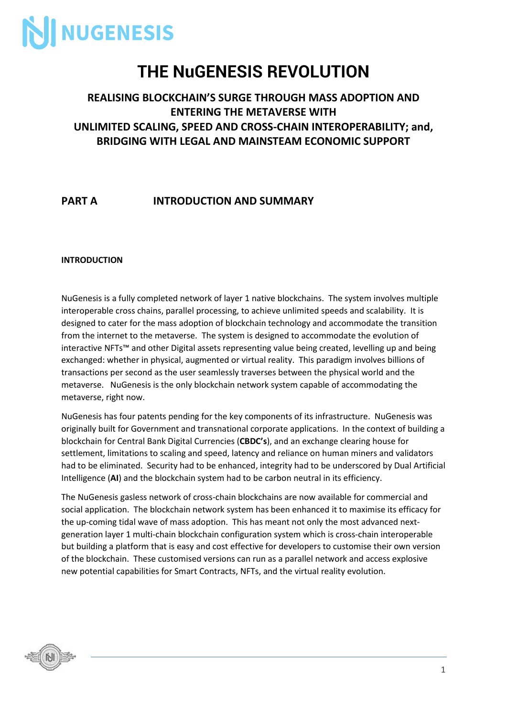

### **THE NuGENESIS REVOLUTION**

### **REALISING BLOCKCHAIN'S SURGE THROUGH MASS ADOPTION AND ENTERING THE METAVERSE WITH UNLIMITED SCALING, SPEED AND CROSS-CHAIN INTEROPERABILITY; and, BRIDGING WITH LEGAL AND MAINSTEAM ECONOMIC SUPPORT**

### **PART A INTRODUCTION AND SUMMARY**

#### **INTRODUCTION**

NuGenesis is a fully completed network of layer 1 native blockchains. The system involves multiple interoperable cross chains, parallel processing, to achieve unlimited speeds and scalability. It is designed to cater for the mass adoption of blockchain technology and accommodate the transition from the internet to the metaverse. The system is designed to accommodate the evolution of interactive NFTs™ and other Digital assets representing value being created, levelling up and being exchanged: whether in physical, augmented or virtual reality. This paradigm involves billions of transactions per second as the user seamlessly traverses between the physical world and the metaverse. NuGenesis is the only blockchain network system capable of accommodating the metaverse, right now.

NuGenesis has four patents pending for the key components of its infrastructure. NuGenesis was originally built for Government and transnational corporate applications. In the context of building a blockchain for Central Bank Digital Currencies (**CBDC's**), and an exchange clearing house for settlement, limitations to scaling and speed, latency and reliance on human miners and validators had to be eliminated. Security had to be enhanced, integrity had to be underscored by Dual Artificial Intelligence (**AI**) and the blockchain system had to be carbon neutral in its efficiency.

The NuGenesis gasless network of cross-chain blockchains are now available for commercial and social application. The blockchain network system has been enhanced it to maximise its efficacy for the up-coming tidal wave of mass adoption. This has meant not only the most advanced nextgeneration layer 1 multi-chain blockchain configuration system which is cross-chain interoperable but building a platform that is easy and cost effective for developers to customise their own version of the blockchain. These customised versions can run as a parallel network and access explosive new potential capabilities for Smart Contracts, NFTs, and the virtual reality evolution.

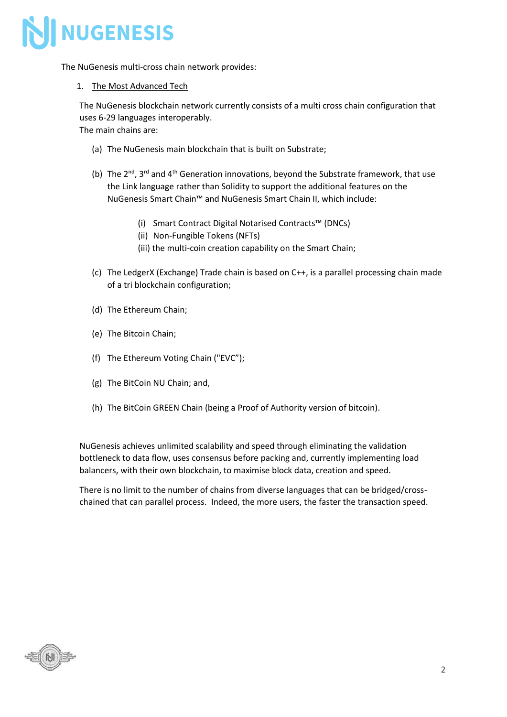

The NuGenesis multi-cross chain network provides:

#### 1. The Most Advanced Tech

The NuGenesis blockchain network currently consists of a multi cross chain configuration that uses 6-29 languages interoperably.

The main chains are:

- (a) The NuGenesis main blockchain that is built on Substrate;
- (b) The  $2^{nd}$ , 3<sup>rd</sup> and 4<sup>th</sup> Generation innovations, beyond the Substrate framework, that use the Link language rather than Solidity to support the additional features on the NuGenesis Smart Chain™ and NuGenesis Smart Chain II, which include:
	- (i) Smart Contract Digital Notarised Contracts™ (DNCs)
	- (ii) Non-Fungible Tokens (NFTs)
	- (iii) the multi-coin creation capability on the Smart Chain;
- (c) The LedgerX (Exchange) Trade chain is based on C++, is a parallel processing chain made of a tri blockchain configuration;
- (d) The Ethereum Chain;
- (e) The Bitcoin Chain;
- (f) The Ethereum Voting Chain ("EVC");
- (g) The BitCoin NU Chain; and,
- (h) The BitCoin GREEN Chain (being a Proof of Authority version of bitcoin).

NuGenesis achieves unlimited scalability and speed through eliminating the validation bottleneck to data flow, uses consensus before packing and, currently implementing load balancers, with their own blockchain, to maximise block data, creation and speed.

There is no limit to the number of chains from diverse languages that can be bridged/crosschained that can parallel process. Indeed, the more users, the faster the transaction speed.

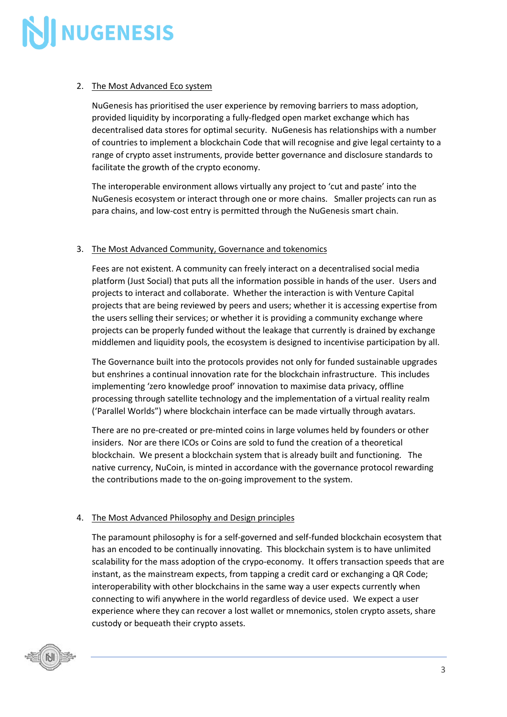

#### 2. The Most Advanced Eco system

NuGenesis has prioritised the user experience by removing barriers to mass adoption, provided liquidity by incorporating a fully-fledged open market exchange which has decentralised data stores for optimal security. NuGenesis has relationships with a number of countries to implement a blockchain Code that will recognise and give legal certainty to a range of crypto asset instruments, provide better governance and disclosure standards to facilitate the growth of the crypto economy.

The interoperable environment allows virtually any project to 'cut and paste' into the NuGenesis ecosystem or interact through one or more chains. Smaller projects can run as para chains, and low-cost entry is permitted through the NuGenesis smart chain.

#### 3. The Most Advanced Community, Governance and tokenomics

Fees are not existent. A community can freely interact on a decentralised social media platform (Just Social) that puts all the information possible in hands of the user. Users and projects to interact and collaborate. Whether the interaction is with Venture Capital projects that are being reviewed by peers and users; whether it is accessing expertise from the users selling their services; or whether it is providing a community exchange where projects can be properly funded without the leakage that currently is drained by exchange middlemen and liquidity pools, the ecosystem is designed to incentivise participation by all.

The Governance built into the protocols provides not only for funded sustainable upgrades but enshrines a continual innovation rate for the blockchain infrastructure. This includes implementing 'zero knowledge proof' innovation to maximise data privacy, offline processing through satellite technology and the implementation of a virtual reality realm ('Parallel Worlds") where blockchain interface can be made virtually through avatars.

There are no pre-created or pre-minted coins in large volumes held by founders or other insiders. Nor are there ICOs or Coins are sold to fund the creation of a theoretical blockchain. We present a blockchain system that is already built and functioning. The native currency, NuCoin, is minted in accordance with the governance protocol rewarding the contributions made to the on-going improvement to the system.

#### 4. The Most Advanced Philosophy and Design principles

The paramount philosophy is for a self-governed and self-funded blockchain ecosystem that has an encoded to be continually innovating. This blockchain system is to have unlimited scalability for the mass adoption of the crypo-economy. It offers transaction speeds that are instant, as the mainstream expects, from tapping a credit card or exchanging a QR Code; interoperability with other blockchains in the same way a user expects currently when connecting to wifi anywhere in the world regardless of device used. We expect a user experience where they can recover a lost wallet or mnemonics, stolen crypto assets, share custody or bequeath their crypto assets.

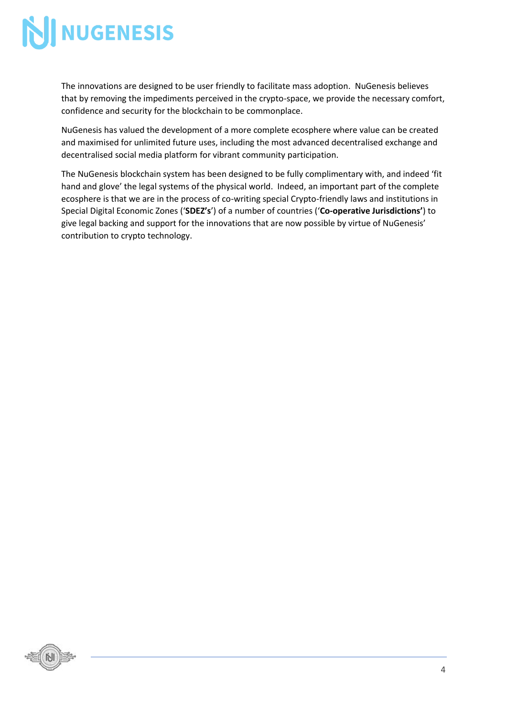The innovations are designed to be user friendly to facilitate mass adoption. NuGenesis believes that by removing the impediments perceived in the crypto-space, we provide the necessary comfort, confidence and security for the blockchain to be commonplace.

NuGenesis has valued the development of a more complete ecosphere where value can be created and maximised for unlimited future uses, including the most advanced decentralised exchange and decentralised social media platform for vibrant community participation.

The NuGenesis blockchain system has been designed to be fully complimentary with, and indeed 'fit hand and glove' the legal systems of the physical world. Indeed, an important part of the complete ecosphere is that we are in the process of co-writing special Crypto-friendly laws and institutions in Special Digital Economic Zones ('**SDEZ's**') of a number of countries ('**Co-operative Jurisdictions'**) to give legal backing and support for the innovations that are now possible by virtue of NuGenesis' contribution to crypto technology.

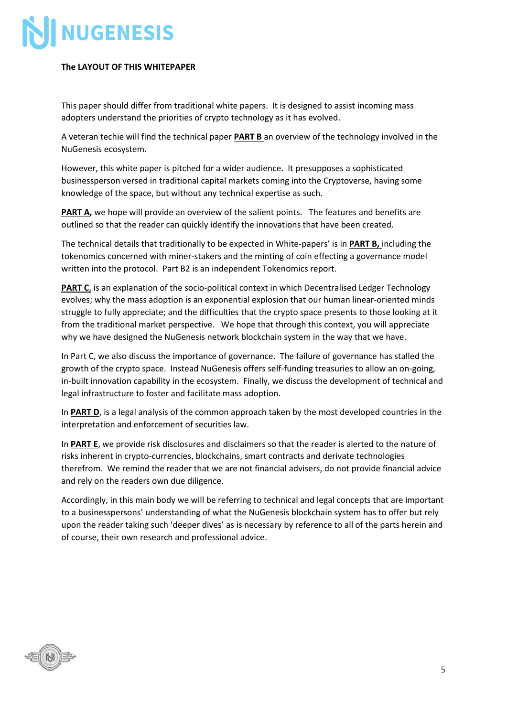#### **The LAYOUT OF THIS WHITEPAPER**

This paper should differ from traditional white papers. It is designed to assist incoming mass adopters understand the priorities of crypto technology as it has evolved.

A veteran techie will find the technical paper **PART B** an overview of the technology involved in the NuGenesis ecosystem.

However, this white paper is pitched for a wider audience. It presupposes a sophisticated businessperson versed in traditional capital markets coming into the Cryptoverse, having some knowledge of the space, but without any technical expertise as such.

**PART A,** we hope will provide an overview of the salient points. The features and benefits are outlined so that the reader can quickly identify the innovations that have been created.

The technical details that traditionally to be expected in White-papers' is in **PART B,** including the tokenomics concerned with miner-stakers and the minting of coin effecting a governance model written into the protocol. Part B2 is an independent Tokenomics report.

**PART C**, is an explanation of the socio-political context in which Decentralised Ledger Technology evolves; why the mass adoption is an exponential explosion that our human linear-oriented minds struggle to fully appreciate; and the difficulties that the crypto space presents to those looking at it from the traditional market perspective. We hope that through this context, you will appreciate why we have designed the NuGenesis network blockchain system in the way that we have.

In Part C, we also discuss the importance of governance. The failure of governance has stalled the growth of the crypto space. Instead NuGenesis offers self-funding treasuries to allow an on-going, in-built innovation capability in the ecosystem. Finally, we discuss the development of technical and legal infrastructure to foster and facilitate mass adoption.

In **PART D**, is a legal analysis of the common approach taken by the most developed countries in the interpretation and enforcement of securities law.

In **PART E**, we provide risk disclosures and disclaimers so that the reader is alerted to the nature of risks inherent in crypto-currencies, blockchains, smart contracts and derivate technologies therefrom. We remind the reader that we are not financial advisers, do not provide financial advice and rely on the readers own due diligence.

Accordingly, in this main body we will be referring to technical and legal concepts that are important to a businesspersons' understanding of what the NuGenesis blockchain system has to offer but rely upon the reader taking such 'deeper dives' as is necessary by reference to all of the parts herein and of course, their own research and professional advice.

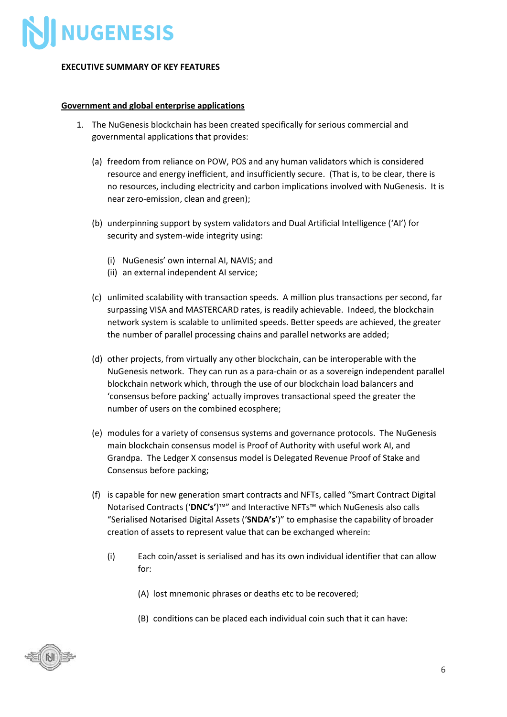

#### **EXECUTIVE SUMMARY OF KEY FEATURES**

#### **Government and global enterprise applications**

- 1. The NuGenesis blockchain has been created specifically for serious commercial and governmental applications that provides:
	- (a) freedom from reliance on POW, POS and any human validators which is considered resource and energy inefficient, and insufficiently secure. (That is, to be clear, there is no resources, including electricity and carbon implications involved with NuGenesis. It is near zero-emission, clean and green);
	- (b) underpinning support by system validators and Dual Artificial Intelligence ('AI') for security and system-wide integrity using:
		- (i) NuGenesis' own internal AI, NAVIS; and
		- (ii) an external independent AI service;
	- (c) unlimited scalability with transaction speeds. A million plus transactions per second, far surpassing VISA and MASTERCARD rates, is readily achievable. Indeed, the blockchain network system is scalable to unlimited speeds. Better speeds are achieved, the greater the number of parallel processing chains and parallel networks are added;
	- (d) other projects, from virtually any other blockchain, can be interoperable with the NuGenesis network. They can run as a para-chain or as a sovereign independent parallel blockchain network which, through the use of our blockchain load balancers and 'consensus before packing' actually improves transactional speed the greater the number of users on the combined ecosphere;
	- (e) modules for a variety of consensus systems and governance protocols. The NuGenesis main blockchain consensus model is Proof of Authority with useful work AI, and Grandpa. The Ledger X consensus model is Delegated Revenue Proof of Stake and Consensus before packing;
	- (f) is capable for new generation smart contracts and NFTs, called "Smart Contract Digital Notarised Contracts ('**DNC's'**)™" and Interactive NFTs™ which NuGenesis also calls "Serialised Notarised Digital Assets ('**SNDA's**')" to emphasise the capability of broader creation of assets to represent value that can be exchanged wherein:
		- (i) Each coin/asset is serialised and has its own individual identifier that can allow for:
			- (A) lost mnemonic phrases or deaths etc to be recovered;
			- (B) conditions can be placed each individual coin such that it can have:

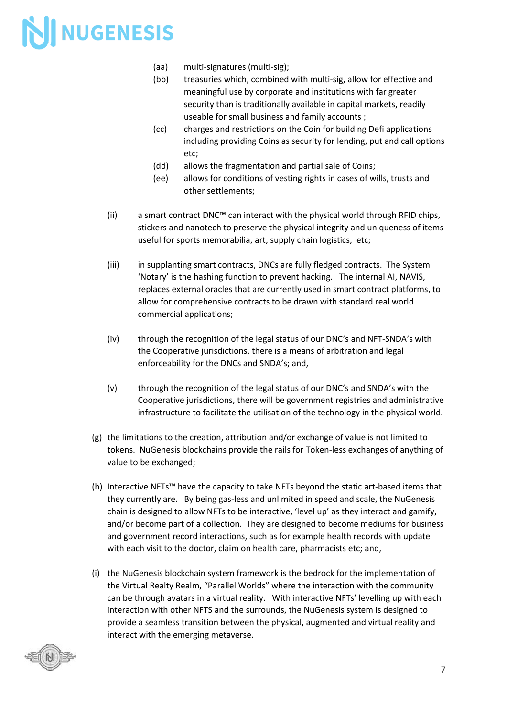- (aa) multi-signatures (multi-sig);
- (bb) treasuries which, combined with multi-sig, allow for effective and meaningful use by corporate and institutions with far greater security than is traditionally available in capital markets, readily useable for small business and family accounts ;
- (cc) charges and restrictions on the Coin for building Defi applications including providing Coins as security for lending, put and call options etc;
- (dd) allows the fragmentation and partial sale of Coins;
- (ee) allows for conditions of vesting rights in cases of wills, trusts and other settlements;
- (ii) a smart contract DNC™ can interact with the physical world through RFID chips, stickers and nanotech to preserve the physical integrity and uniqueness of items useful for sports memorabilia, art, supply chain logistics, etc;
- (iii) in supplanting smart contracts, DNCs are fully fledged contracts. The System 'Notary' is the hashing function to prevent hacking. The internal AI, NAVIS, replaces external oracles that are currently used in smart contract platforms, to allow for comprehensive contracts to be drawn with standard real world commercial applications;
- (iv) through the recognition of the legal status of our DNC's and NFT-SNDA's with the Cooperative jurisdictions, there is a means of arbitration and legal enforceability for the DNCs and SNDA's; and,
- (v) through the recognition of the legal status of our DNC's and SNDA's with the Cooperative jurisdictions, there will be government registries and administrative infrastructure to facilitate the utilisation of the technology in the physical world.
- (g) the limitations to the creation, attribution and/or exchange of value is not limited to tokens. NuGenesis blockchains provide the rails for Token-less exchanges of anything of value to be exchanged;
- (h) Interactive NFTs™ have the capacity to take NFTs beyond the static art-based items that they currently are. By being gas-less and unlimited in speed and scale, the NuGenesis chain is designed to allow NFTs to be interactive, 'level up' as they interact and gamify, and/or become part of a collection. They are designed to become mediums for business and government record interactions, such as for example health records with update with each visit to the doctor, claim on health care, pharmacists etc; and,
- (i) the NuGenesis blockchain system framework is the bedrock for the implementation of the Virtual Realty Realm, "Parallel Worlds" where the interaction with the community can be through avatars in a virtual reality. With interactive NFTs' levelling up with each interaction with other NFTS and the surrounds, the NuGenesis system is designed to provide a seamless transition between the physical, augmented and virtual reality and interact with the emerging metaverse.

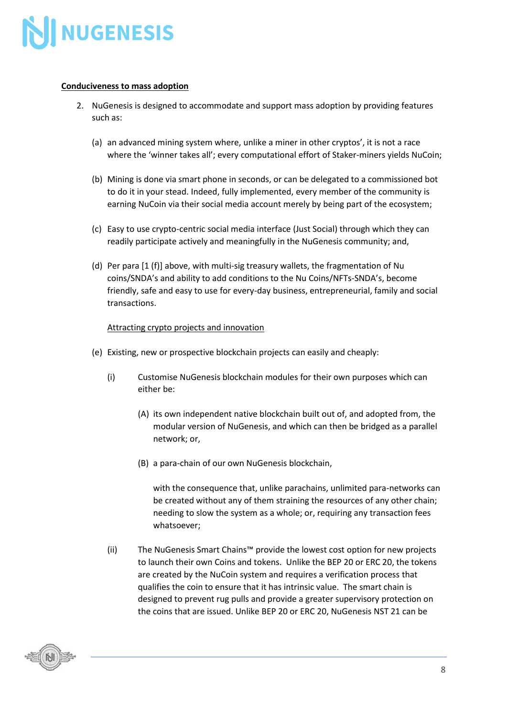

#### **Conduciveness to mass adoption**

- 2. NuGenesis is designed to accommodate and support mass adoption by providing features such as:
	- (a) an advanced mining system where, unlike a miner in other cryptos', it is not a race where the 'winner takes all'; every computational effort of Staker-miners yields NuCoin;
	- (b) Mining is done via smart phone in seconds, or can be delegated to a commissioned bot to do it in your stead. Indeed, fully implemented, every member of the community is earning NuCoin via their social media account merely by being part of the ecosystem;
	- (c) Easy to use crypto-centric social media interface (Just Social) through which they can readily participate actively and meaningfully in the NuGenesis community; and,
	- (d) Per para [1 (f)] above, with multi-sig treasury wallets, the fragmentation of Nu coins/SNDA's and ability to add conditions to the Nu Coins/NFTs-SNDA's, become friendly, safe and easy to use for every-day business, entrepreneurial, family and social transactions.

#### Attracting crypto projects and innovation

- (e) Existing, new or prospective blockchain projects can easily and cheaply:
	- (i) Customise NuGenesis blockchain modules for their own purposes which can either be:
		- (A) its own independent native blockchain built out of, and adopted from, the modular version of NuGenesis, and which can then be bridged as a parallel network; or,
		- (B) a para-chain of our own NuGenesis blockchain,

with the consequence that, unlike parachains, unlimited para-networks can be created without any of them straining the resources of any other chain; needing to slow the system as a whole; or, requiring any transaction fees whatsoever;

(ii) The NuGenesis Smart Chains™ provide the lowest cost option for new projects to launch their own Coins and tokens. Unlike the BEP 20 or ERC 20, the tokens are created by the NuCoin system and requires a verification process that qualifies the coin to ensure that it has intrinsic value. The smart chain is designed to prevent rug pulls and provide a greater supervisory protection on the coins that are issued. Unlike BEP 20 or ERC 20, NuGenesis NST 21 can be

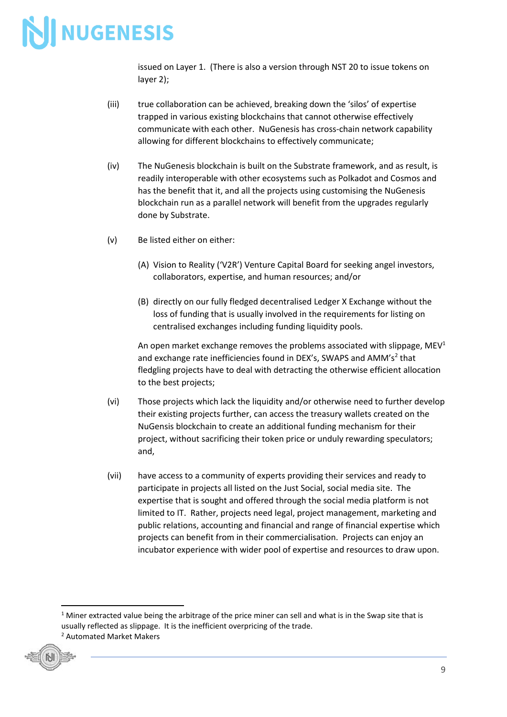issued on Layer 1. (There is also a version through NST 20 to issue tokens on layer 2);

- (iii) true collaboration can be achieved, breaking down the 'silos' of expertise trapped in various existing blockchains that cannot otherwise effectively communicate with each other. NuGenesis has cross-chain network capability allowing for different blockchains to effectively communicate;
- (iv) The NuGenesis blockchain is built on the Substrate framework, and as result, is readily interoperable with other ecosystems such as Polkadot and Cosmos and has the benefit that it, and all the projects using customising the NuGenesis blockchain run as a parallel network will benefit from the upgrades regularly done by Substrate.
- (v) Be listed either on either:
	- (A) Vision to Reality ('V2R') Venture Capital Board for seeking angel investors, collaborators, expertise, and human resources; and/or
	- (B) directly on our fully fledged decentralised Ledger X Exchange without the loss of funding that is usually involved in the requirements for listing on centralised exchanges including funding liquidity pools.

An open market exchange removes the problems associated with slippage,  $MEV<sup>1</sup>$ and exchange rate inefficiencies found in DEX's, SWAPS and AMM's<sup>2</sup> that fledgling projects have to deal with detracting the otherwise efficient allocation to the best projects;

- (vi) Those projects which lack the liquidity and/or otherwise need to further develop their existing projects further, can access the treasury wallets created on the NuGensis blockchain to create an additional funding mechanism for their project, without sacrificing their token price or unduly rewarding speculators; and,
- (vii) have access to a community of experts providing their services and ready to participate in projects all listed on the Just Social, social media site. The expertise that is sought and offered through the social media platform is not limited to IT. Rather, projects need legal, project management, marketing and public relations, accounting and financial and range of financial expertise which projects can benefit from in their commercialisation. Projects can enjoy an incubator experience with wider pool of expertise and resources to draw upon.

<sup>2</sup> Automated Market Makers



 $1$  Miner extracted value being the arbitrage of the price miner can sell and what is in the Swap site that is usually reflected as slippage. It is the inefficient overpricing of the trade.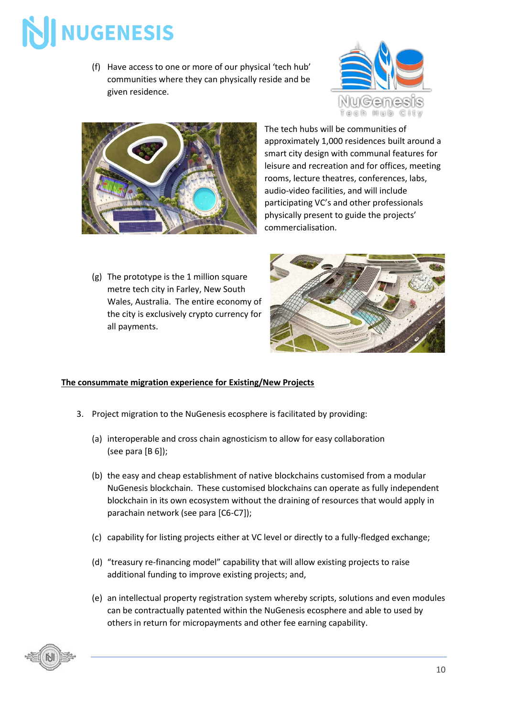(f) Have access to one or more of our physical 'tech hub' communities where they can physically reside and be given residence.





The tech hubs will be communities of approximately 1,000 residences built around a smart city design with communal features for leisure and recreation and for offices, meeting rooms, lecture theatres, conferences, labs, audio-video facilities, and will include participating VC's and other professionals physically present to guide the projects' commercialisation.

(g) The prototype is the 1 million square metre tech city in Farley, New South Wales, Australia. The entire economy of the city is exclusively crypto currency for all payments.



#### **The consummate migration experience for Existing/New Projects**

- 3. Project migration to the NuGenesis ecosphere is facilitated by providing:
	- (a) interoperable and cross chain agnosticism to allow for easy collaboration (see para [B 6]);
	- (b) the easy and cheap establishment of native blockchains customised from a modular NuGenesis blockchain. These customised blockchains can operate as fully independent blockchain in its own ecosystem without the draining of resources that would apply in parachain network (see para [C6-C7]);
	- (c) capability for listing projects either at VC level or directly to a fully-fledged exchange;
	- (d) "treasury re-financing model" capability that will allow existing projects to raise additional funding to improve existing projects; and,
	- (e) an intellectual property registration system whereby scripts, solutions and even modules can be contractually patented within the NuGenesis ecosphere and able to used by others in return for micropayments and other fee earning capability.

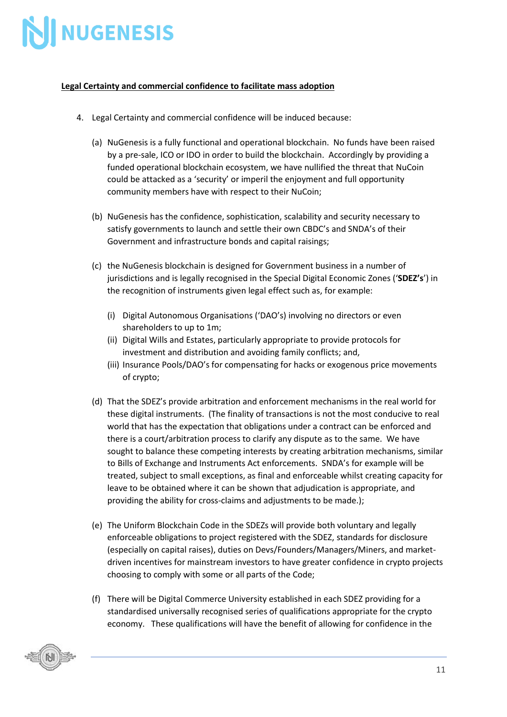

#### **Legal Certainty and commercial confidence to facilitate mass adoption**

- 4. Legal Certainty and commercial confidence will be induced because:
	- (a) NuGenesis is a fully functional and operational blockchain. No funds have been raised by a pre-sale, ICO or IDO in order to build the blockchain. Accordingly by providing a funded operational blockchain ecosystem, we have nullified the threat that NuCoin could be attacked as a 'security' or imperil the enjoyment and full opportunity community members have with respect to their NuCoin;
	- (b) NuGenesis has the confidence, sophistication, scalability and security necessary to satisfy governments to launch and settle their own CBDC's and SNDA's of their Government and infrastructure bonds and capital raisings;
	- (c) the NuGenesis blockchain is designed for Government business in a number of jurisdictions and is legally recognised in the Special Digital Economic Zones ('**SDEZ's**') in the recognition of instruments given legal effect such as, for example:
		- (i) Digital Autonomous Organisations ('DAO's) involving no directors or even shareholders to up to 1m;
		- (ii) Digital Wills and Estates, particularly appropriate to provide protocols for investment and distribution and avoiding family conflicts; and,
		- (iii) Insurance Pools/DAO's for compensating for hacks or exogenous price movements of crypto;
	- (d) That the SDEZ's provide arbitration and enforcement mechanisms in the real world for these digital instruments. (The finality of transactions is not the most conducive to real world that has the expectation that obligations under a contract can be enforced and there is a court/arbitration process to clarify any dispute as to the same. We have sought to balance these competing interests by creating arbitration mechanisms, similar to Bills of Exchange and Instruments Act enforcements. SNDA's for example will be treated, subject to small exceptions, as final and enforceable whilst creating capacity for leave to be obtained where it can be shown that adjudication is appropriate, and providing the ability for cross-claims and adjustments to be made.);
	- (e) The Uniform Blockchain Code in the SDEZs will provide both voluntary and legally enforceable obligations to project registered with the SDEZ, standards for disclosure (especially on capital raises), duties on Devs/Founders/Managers/Miners, and marketdriven incentives for mainstream investors to have greater confidence in crypto projects choosing to comply with some or all parts of the Code;
	- (f) There will be Digital Commerce University established in each SDEZ providing for a standardised universally recognised series of qualifications appropriate for the crypto economy. These qualifications will have the benefit of allowing for confidence in the

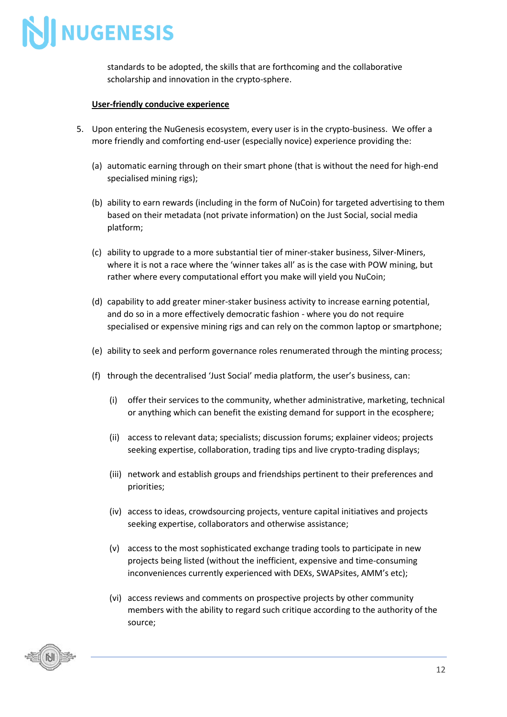

standards to be adopted, the skills that are forthcoming and the collaborative scholarship and innovation in the crypto-sphere.

#### **User-friendly conducive experience**

- 5. Upon entering the NuGenesis ecosystem, every user is in the crypto-business. We offer a more friendly and comforting end-user (especially novice) experience providing the:
	- (a) automatic earning through on their smart phone (that is without the need for high-end specialised mining rigs);
	- (b) ability to earn rewards (including in the form of NuCoin) for targeted advertising to them based on their metadata (not private information) on the Just Social, social media platform;
	- (c) ability to upgrade to a more substantial tier of miner-staker business, Silver-Miners, where it is not a race where the 'winner takes all' as is the case with POW mining, but rather where every computational effort you make will yield you NuCoin;
	- (d) capability to add greater miner-staker business activity to increase earning potential, and do so in a more effectively democratic fashion - where you do not require specialised or expensive mining rigs and can rely on the common laptop or smartphone;
	- (e) ability to seek and perform governance roles renumerated through the minting process;
	- (f) through the decentralised 'Just Social' media platform, the user's business, can:
		- (i) offer their services to the community, whether administrative, marketing, technical or anything which can benefit the existing demand for support in the ecosphere;
		- (ii) access to relevant data; specialists; discussion forums; explainer videos; projects seeking expertise, collaboration, trading tips and live crypto-trading displays;
		- (iii) network and establish groups and friendships pertinent to their preferences and priorities;
		- (iv) access to ideas, crowdsourcing projects, venture capital initiatives and projects seeking expertise, collaborators and otherwise assistance;
		- (v) access to the most sophisticated exchange trading tools to participate in new projects being listed (without the inefficient, expensive and time-consuming inconveniences currently experienced with DEXs, SWAPsites, AMM's etc);
		- (vi) access reviews and comments on prospective projects by other community members with the ability to regard such critique according to the authority of the source;

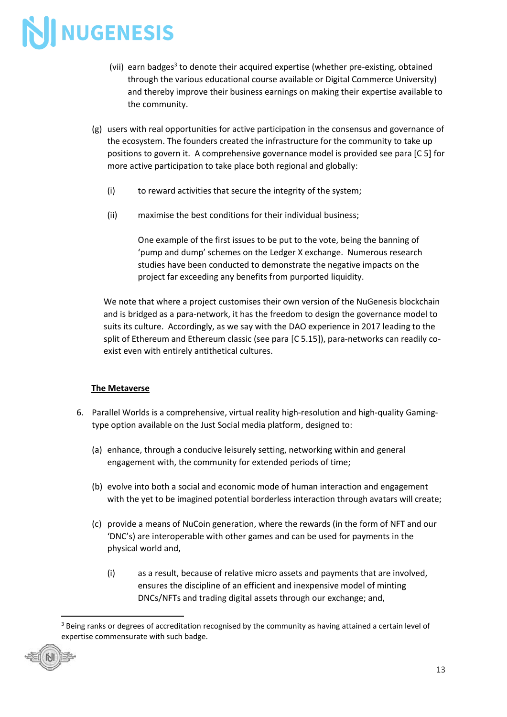- (vii) earn badges<sup>3</sup> to denote their acquired expertise (whether pre-existing, obtained through the various educational course available or Digital Commerce University) and thereby improve their business earnings on making their expertise available to the community.
- (g) users with real opportunities for active participation in the consensus and governance of the ecosystem. The founders created the infrastructure for the community to take up positions to govern it. A comprehensive governance model is provided see para [C 5] for more active participation to take place both regional and globally:
	- (i) to reward activities that secure the integrity of the system;
	- (ii) maximise the best conditions for their individual business;

One example of the first issues to be put to the vote, being the banning of 'pump and dump' schemes on the Ledger X exchange. Numerous research studies have been conducted to demonstrate the negative impacts on the project far exceeding any benefits from purported liquidity.

We note that where a project customises their own version of the NuGenesis blockchain and is bridged as a para-network, it has the freedom to design the governance model to suits its culture. Accordingly, as we say with the DAO experience in 2017 leading to the split of Ethereum and Ethereum classic (see para [C 5.15]), para-networks can readily coexist even with entirely antithetical cultures.

#### **The Metaverse**

- 6. Parallel Worlds is a comprehensive, virtual reality high-resolution and high-quality Gamingtype option available on the Just Social media platform, designed to:
	- (a) enhance, through a conducive leisurely setting, networking within and general engagement with, the community for extended periods of time;
	- (b) evolve into both a social and economic mode of human interaction and engagement with the yet to be imagined potential borderless interaction through avatars will create;
	- (c) provide a means of NuCoin generation, where the rewards (in the form of NFT and our 'DNC's) are interoperable with other games and can be used for payments in the physical world and,
		- (i) as a result, because of relative micro assets and payments that are involved, ensures the discipline of an efficient and inexpensive model of minting DNCs/NFTs and trading digital assets through our exchange; and,

<sup>&</sup>lt;sup>3</sup> Being ranks or degrees of accreditation recognised by the community as having attained a certain level of expertise commensurate with such badge.

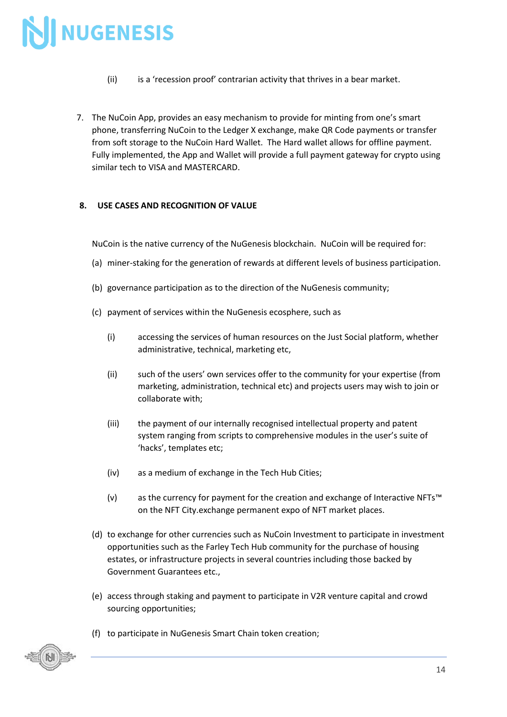- (ii) is a 'recession proof' contrarian activity that thrives in a bear market.
- 7. The NuCoin App, provides an easy mechanism to provide for minting from one's smart phone, transferring NuCoin to the Ledger X exchange, make QR Code payments or transfer from soft storage to the NuCoin Hard Wallet. The Hard wallet allows for offline payment. Fully implemented, the App and Wallet will provide a full payment gateway for crypto using similar tech to VISA and MASTERCARD.

#### **8. USE CASES AND RECOGNITION OF VALUE**

NuCoin is the native currency of the NuGenesis blockchain. NuCoin will be required for:

- (a) miner-staking for the generation of rewards at different levels of business participation.
- (b) governance participation as to the direction of the NuGenesis community;
- (c) payment of services within the NuGenesis ecosphere, such as
	- (i) accessing the services of human resources on the Just Social platform, whether administrative, technical, marketing etc,
	- (ii) such of the users' own services offer to the community for your expertise (from marketing, administration, technical etc) and projects users may wish to join or collaborate with;
	- (iii) the payment of our internally recognised intellectual property and patent system ranging from scripts to comprehensive modules in the user's suite of 'hacks', templates etc;
	- (iv) as a medium of exchange in the Tech Hub Cities;
	- (v) as the currency for payment for the creation and exchange of Interactive NFTs™ on the NFT City.exchange permanent expo of NFT market places.
- (d) to exchange for other currencies such as NuCoin Investment to participate in investment opportunities such as the Farley Tech Hub community for the purchase of housing estates, or infrastructure projects in several countries including those backed by Government Guarantees etc.,
- (e) access through staking and payment to participate in V2R venture capital and crowd sourcing opportunities;
- (f) to participate in NuGenesis Smart Chain token creation;

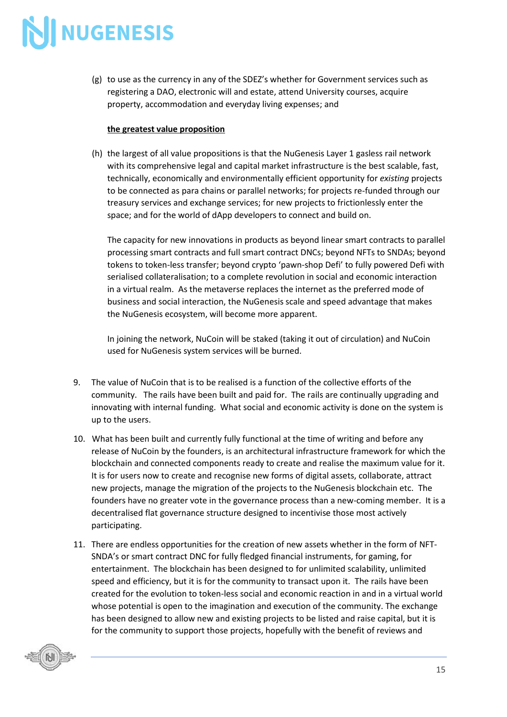(g) to use as the currency in any of the SDEZ's whether for Government services such as registering a DAO, electronic will and estate, attend University courses, acquire property, accommodation and everyday living expenses; and

#### **the greatest value proposition**

(h) the largest of all value propositions is that the NuGenesis Layer 1 gasless rail network with its comprehensive legal and capital market infrastructure is the best scalable, fast, technically, economically and environmentally efficient opportunity for *existing* projects to be connected as para chains or parallel networks; for projects re-funded through our treasury services and exchange services; for new projects to frictionlessly enter the space; and for the world of dApp developers to connect and build on.

The capacity for new innovations in products as beyond linear smart contracts to parallel processing smart contracts and full smart contract DNCs; beyond NFTs to SNDAs; beyond tokens to token-less transfer; beyond crypto 'pawn-shop Defi' to fully powered Defi with serialised collateralisation; to a complete revolution in social and economic interaction in a virtual realm. As the metaverse replaces the internet as the preferred mode of business and social interaction, the NuGenesis scale and speed advantage that makes the NuGenesis ecosystem, will become more apparent.

In joining the network, NuCoin will be staked (taking it out of circulation) and NuCoin used for NuGenesis system services will be burned.

- 9. The value of NuCoin that is to be realised is a function of the collective efforts of the community. The rails have been built and paid for. The rails are continually upgrading and innovating with internal funding. What social and economic activity is done on the system is up to the users.
- 10. What has been built and currently fully functional at the time of writing and before any release of NuCoin by the founders, is an architectural infrastructure framework for which the blockchain and connected components ready to create and realise the maximum value for it. It is for users now to create and recognise new forms of digital assets, collaborate, attract new projects, manage the migration of the projects to the NuGenesis blockchain etc. The founders have no greater vote in the governance process than a new-coming member. It is a decentralised flat governance structure designed to incentivise those most actively participating.
- 11. There are endless opportunities for the creation of new assets whether in the form of NFT-SNDA's or smart contract DNC for fully fledged financial instruments, for gaming, for entertainment. The blockchain has been designed to for unlimited scalability, unlimited speed and efficiency, but it is for the community to transact upon it. The rails have been created for the evolution to token-less social and economic reaction in and in a virtual world whose potential is open to the imagination and execution of the community. The exchange has been designed to allow new and existing projects to be listed and raise capital, but it is for the community to support those projects, hopefully with the benefit of reviews and